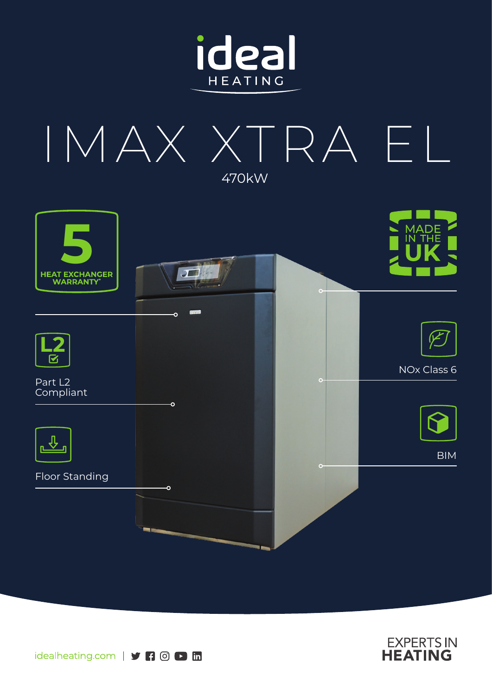







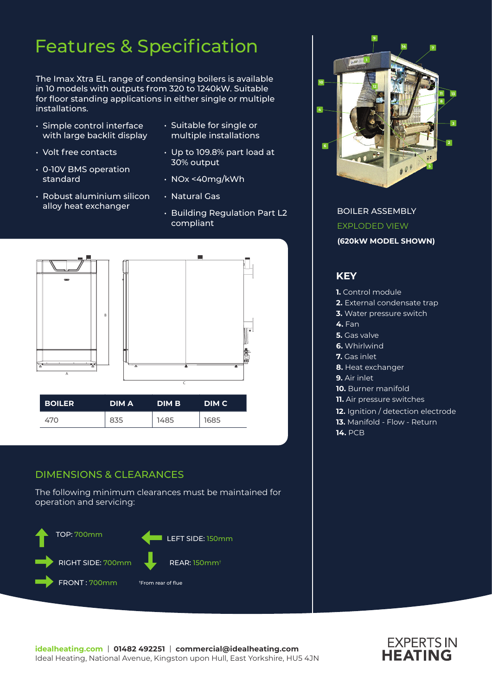# Features & Specification

The Imax Xtra EL range of condensing boilers is available in 10 models with outputs from 320 to 1240kW. Suitable for floor standing applications in either single or multiple installations.

- Simple control interface with large backlit display
- Volt free contacts
- 0-10V BMS operation standard
- Robust aluminium silicon alloy heat exchanger
- Suitable for single or multiple installations
- Up to 109.8% part load at 30% output
- NOx <40mg/kWh
- Natural Gas
- Building Regulation Part L2 compliant



### DIMENSIONS & CLEARANCES

The following minimum clearances must be maintained for operation and servicing:





BOILER ASSEMBLY EXPLODED VIEW **(620kW MODEL SHOWN)**

### **KEY**

- **1.** Control module
- **2.** External condensate trap
- **3.** Water pressure switch
- **4.** Fan
- **5.** Gas valve
- **6.** Whirlwind
- **7.** Gas inlet
- **8.** Heat exchanger
- **9.** Air inlet
- **10.** Burner manifold
- **11.** Air pressure switches
- **12.** Ignition / detection electrode
- **13.** Manifold Flow Return
- **14.** PCB

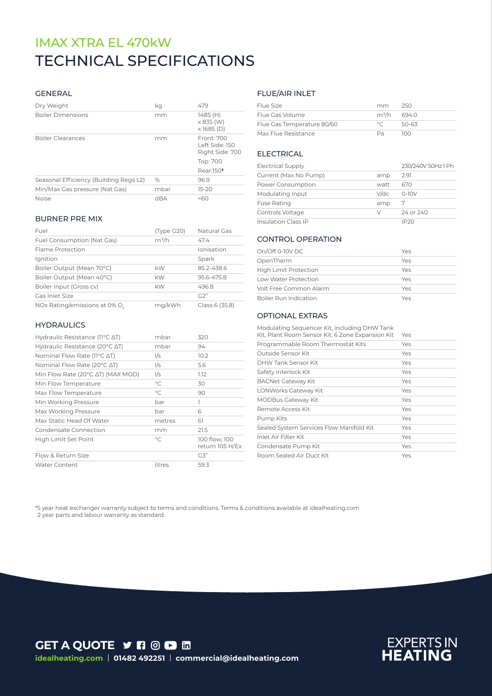# TECHNICAL SPECIFICATIONS IMAX XTRA EL 470kW

#### GENERAL

| Dry Weight                             | kg   | 479                                             |
|----------------------------------------|------|-------------------------------------------------|
| <b>Boiler Dimensions</b>               | mm   | 1485 (H)<br>$\times$ 835 (W)<br>$x$ 1685 (D)    |
| <b>Boiler Clearances</b>               | mm   | Front: 700<br>Left Side: 150<br>Right Side: 700 |
|                                        |      | Top: 700                                        |
|                                        |      | Rear:150 <sup>t</sup>                           |
| Seasonal Efficiency (Building Regs L2) | $\%$ | 969                                             |
| Min/Max Gas pressure (Nat Gas)         | mbar | $15-20$                                         |
| <b>Noise</b>                           | dBA  | 560                                             |

#### BURNER PRE MIX

| Fuel                                      | (Type G20) | Natural Gas    |
|-------------------------------------------|------------|----------------|
| Fuel Consumption (Nat Gas)                | $m^3/h$    | 47.4           |
| Flame Protection                          |            | Ionisation     |
| Ignition                                  |            | Spark          |
| Boiler Output (Mean 70°C)                 | kW         | 852-438.6      |
| Boiler Output (Mean 40°C)                 | kW         | 95.6-475.8     |
| Boiler Input (Gross cv)                   | kW         | 496.8          |
| Gas Inlet Size                            |            | G2"            |
| NOx Rating/emissions at 0% O <sub>2</sub> | ma/kWh     | Class 6 (35.8) |

#### **HYDRAULICS**

| Hydraulic Resistance ( $11^{\circ}$ C $\Delta$ T)   | mbar         | 320                              |
|-----------------------------------------------------|--------------|----------------------------------|
| Hydraulic Resistance (20 $\degree$ C $\triangle$ T) | mbar         | 94                               |
| Nominal Flow Rate ( $11^{\circ}$ C $\Delta$ T)      | I/s          | 10.2                             |
| Nominal Flow Rate (20°C ∆T)                         | I/s          | 5.6                              |
| Min Flow Rate (20°C AT) (MAX MOD)                   | l/s          | 1.12                             |
| Min Flow Temperature                                | $^{\circ}$ C | 30                               |
| Max Flow Temperature                                | $\circ$ C    | 90                               |
| Min Working Pressure                                | bar          | 1                                |
| Max Working Pressure                                | bar          | 6                                |
| Max Static Head Of Water                            | metres       | 61                               |
| Condensate Connection                               | mm           | 21.5                             |
| High Limit Set Point                                | $\circ$ C    | 100 flow, 100<br>return 105 H/Ex |
| Flow & Return Size                                  |              | G3"                              |
| <b>Water Content</b>                                | litres       | 59.3                             |

#### FLUE/AIR INLET

| Flue Size                  | mm             | 250   |
|----------------------------|----------------|-------|
| Flue Gas Volume            | $m^3/h$ 694.0  |       |
| Flue Gas Temperature 80/60 | $\circ$ $\cap$ | 50-63 |
| Max Flue Resistance        | Da.            | חחו   |

#### ELECTRICAL

| <b>Electrical Supply</b>   |      | 230/240V 50Hz 1 Ph |
|----------------------------|------|--------------------|
| Current (Max No Pump)      | amp  | 2.91               |
| Power Consumption          | watt | 670                |
| Modulating Input           | V/dc | $0-10V$            |
| <b>Fuse Rating</b>         | amp  | 7                  |
| Controls Voltage           | V    | 24 or 240          |
| <b>Insulation Class IP</b> |      | IP20               |

#### CONTROL OPERATION

| On/Off 0-10V DC              | Yes |
|------------------------------|-----|
| OpenTherm                    | Yes |
| <b>High Limit Protection</b> | Yes |
| Low Water Protection         | Yes |
| Volt Free Common Alarm       | Yes |
| Boiler Run Indication        | Yes |

#### OPTIONAL EXTRAS

| Modulating Sequencer Kit, including DHW Tank<br>Kit, Plant Room Sensor Kit, 6 Zone Expansion Kit | Yes |
|--------------------------------------------------------------------------------------------------|-----|
| Programmable Room Thermostat Kits                                                                | Yes |
| Outside Sensor Kit                                                                               | Yes |
| DHW Tank Sensor Kit                                                                              | Yes |
| Safety Interlock Kit                                                                             | Yes |
| <b>BACNet Gateway Kit</b>                                                                        | Yes |
| LONWorks Gateway Kit                                                                             | Yes |
| <b>MODBus Gateway Kit</b>                                                                        | Yes |
| Remote Access Kit                                                                                | Yes |
| Pump Kits                                                                                        | Yes |
| Sealed System Services Flow Manifold Kit                                                         | Yes |
| Inlet Air Filter Kit                                                                             | Yes |
| Condensate Pump Kit                                                                              | Yes |
| Room Sealed Air Duct Kit                                                                         | Yes |

\*5 year heat exchanger warranty subject to terms and conditions. Terms & conditions available at idealheating.com 2 year parts and labour warranty as standard.

**GET A QUOTE Y R @ D H idealheating.com** | **01482 492251** | **commercial@idealheating.com**